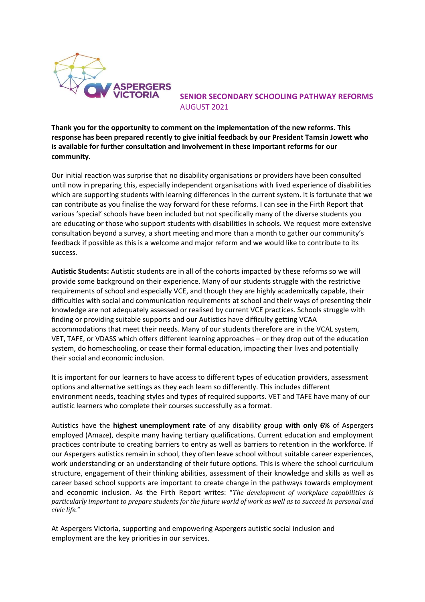

 **SENIOR SECONDARY SCHOOLING PATHWAY REFORMS**  AUGUST 2021

**Thank you for the opportunity to comment on the implementation of the new reforms. This response has been prepared recently to give initial feedback by our President Tamsin Jowett who is available for further consultation and involvement in these important reforms for our community.** 

Our initial reaction was surprise that no disability organisations or providers have been consulted until now in preparing this, especially independent organisations with lived experience of disabilities which are supporting students with learning differences in the current system. It is fortunate that we can contribute as you finalise the way forward for these reforms. I can see in the Firth Report that various 'special' schools have been included but not specifically many of the diverse students you are educating or those who support students with disabilities in schools. We request more extensive consultation beyond a survey, a short meeting and more than a month to gather our community's feedback if possible as this is a welcome and major reform and we would like to contribute to its success.

**Autistic Students:** Autistic students are in all of the cohorts impacted by these reforms so we will provide some background on their experience. Many of our students struggle with the restrictive requirements of school and especially VCE, and though they are highly academically capable, their difficulties with social and communication requirements at school and their ways of presenting their knowledge are not adequately assessed or realised by current VCE practices. Schools struggle with finding or providing suitable supports and our Autistics have difficulty getting VCAA accommodations that meet their needs. Many of our students therefore are in the VCAL system, VET, TAFE, or VDASS which offers different learning approaches – or they drop out of the education system, do homeschooling, or cease their formal education, impacting their lives and potentially their social and economic inclusion.

It is important for our learners to have access to different types of education providers, assessment options and alternative settings as they each learn so differently. This includes different environment needs, teaching styles and types of required supports. VET and TAFE have many of our autistic learners who complete their courses successfully as a format.

Autistics have the **highest unemployment rate** of any disability group **with only 6%** of Aspergers employed (Amaze), despite many having tertiary qualifications. Current education and employment practices contribute to creating barriers to entry as well as barriers to retention in the workforce. If our Aspergers autistics remain in school, they often leave school without suitable career experiences, work understanding or an understanding of their future options. This is where the school curriculum structure, engagement of their thinking abilities, assessment of their knowledge and skills as well as career based school supports are important to create change in the pathways towards employment and economic inclusion. As the Firth Report writes: "*The development of workplace capabilities is particularly important to prepare students for the future world of work as well as to succeed in personal and civic life."*

At Aspergers Victoria, supporting and empowering Aspergers autistic social inclusion and employment are the key priorities in our services.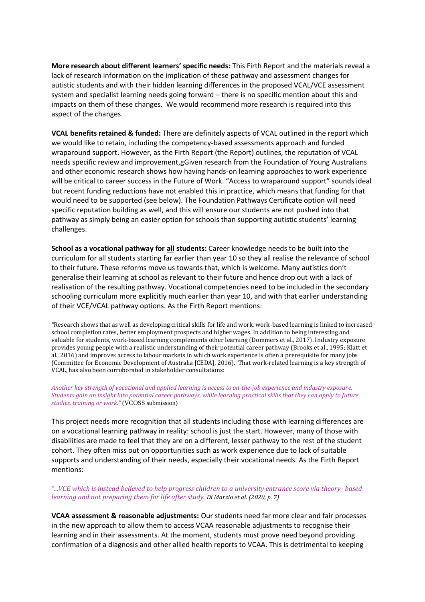**More research about different learners' specific needs:** This Firth Report and the materials reveal a lack of research information on the implication of these pathway and assessment changes for autistic students and with their hidden learning differences in the proposed VCAL/VCE assessment system and specialist learning needs going forward – there is no specific mention about this and impacts on them of these changes. We would recommend more research is required into this aspect of the changes.

**VCAL benefits retained & funded:** There are definitely aspects of VCAL outlined in the report which we would like to retain, including the competency-based assessments approach and funded wraparound support. However, as the Firth Report (the Report) outlines, the reputation of VCAL needs specific review and improvement,gGiven research from the Foundation of Young Australians and other economic research shows how having hands-on learning approaches to work experience will be critical to career success in the Future of Work. "Access to wraparound support" sounds ideal but recent funding reductions have not enabled this in practice, which means that funding for that would need to be supported (see below). The Foundation Pathways Certificate option will need specific reputation building as well, and this will ensure our students are not pushed into that pathway as simply being an easier option for schools than supporting autistic students' learning challenges.

**School as a vocational pathway for all students:** Career knowledge needs to be built into the curriculum for all students starting far earlier than year 10 so they all realise the relevance of school to their future. These reforms move us towards that, which is welcome. Many autistics don't generalise their learning at school as relevant to their future and hence drop out with a lack of realisation of the resulting pathway. Vocational competencies need to be included in the secondary schooling curriculum more explicitly much earlier than year 10, and with that earlier understanding of their VCE/VCAL pathway options. As the Firth Report mentions:

"Research shows that as well as developing critical skills for life and work, work-based learning is linked to increased school completion rates, better employment prospects and higher wages. In addition to being interesting and valuable for students, work-based learning complements other learning (Dommers et al., 2017). Industry exposure provides young people with a realistic understanding of their potential career pathway (Brooks et al., 1995; Klatt et al., 2016) and improves access to labour markets in which work experience is often a prerequisite for many jobs (Committee for Economic Development of Australia [CEDA], 2016). That work-related learning is a key strength of VCAL, has also been corroborated in stakeholder consultations:

## *Another key strength of vocational and applied learning is access to on-the-job experience and industry exposure. Students gain an insight into potential career pathways, while learning practical skills that they can apply to future studies, training or work."* (VCOSS submission)

This project needs more recognition that all students including those with learning differences are on a vocational learning pathway in reality: school is just the start. However, many of those with disabilities are made to feel that they are on a different, lesser pathway to the rest of the student cohort. They often miss out on opportunities such as work experience due to lack of suitable supports and understanding of their needs, especially their vocational needs. As the Firth Report mentions:

## *"...VCE which is instead believed to help progress children to a university entrance score via theory- based learning and not preparing them for life after study. Di Marzio et al. (2020, p. 7)*

**VCAA assessment & reasonable adjustments:** Our students need far more clear and fair processes in the new approach to allow them to access VCAA reasonable adjustments to recognise their learning and in their assessments. At the moment, students must prove need beyond providing confirmation of a diagnosis and other allied health reports to VCAA. This is detrimental to keeping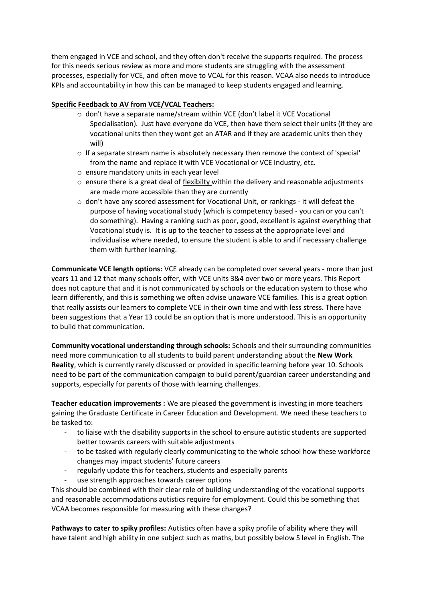them engaged in VCE and school, and they often don't receive the supports required. The process for this needs serious review as more and more students are struggling with the assessment processes, especially for VCE, and often move to VCAL for this reason. VCAA also needs to introduce KPIs and accountability in how this can be managed to keep students engaged and learning.

## **Specific Feedback to AV from VCE/VCAL Teachers:**

- o don't have a separate name/stream within VCE (don't label it VCE Vocational Specialisation). Just have everyone do VCE, then have them select their units (if they are vocational units then they wont get an ATAR and if they are academic units then they will)
- $\circ$  If a separate stream name is absolutely necessary then remove the context of 'special' from the name and replace it with VCE Vocational or VCE Industry, etc.
- o ensure mandatory units in each year level
- $\circ$  ensure there is a great deal of flexibilty within the delivery and reasonable adjustments are made more accessible than they are currently
- $\circ$  don't have any scored assessment for Vocational Unit, or rankings it will defeat the purpose of having vocational study (which is competency based - you can or you can't do something). Having a ranking such as poor, good, excellent is against everything that Vocational study is. It is up to the teacher to assess at the appropriate level and individualise where needed, to ensure the student is able to and if necessary challenge them with further learning.

**Communicate VCE length options:** VCE already can be completed over several years - more than just years 11 and 12 that many schools offer, with VCE units 3&4 over two or more years. This Report does not capture that and it is not communicated by schools or the education system to those who learn differently, and this is something we often advise unaware VCE families. This is a great option that really assists our learners to complete VCE in their own time and with less stress. There have been suggestions that a Year 13 could be an option that is more understood. This is an opportunity to build that communication.

**Community vocational understanding through schools:** Schools and their surrounding communities need more communication to all students to build parent understanding about the **New Work Reality**, which is currently rarely discussed or provided in specific learning before year 10. Schools need to be part of the communication campaign to build parent/guardian career understanding and supports, especially for parents of those with learning challenges.

**Teacher education improvements :** We are pleased the government is investing in more teachers gaining the Graduate Certificate in Career Education and Development. We need these teachers to be tasked to:

- to liaise with the disability supports in the school to ensure autistic students are supported better towards careers with suitable adjustments
- to be tasked with regularly clearly communicating to the whole school how these workforce changes may impact students' future careers
- regularly update this for teachers, students and especially parents
- use strength approaches towards career options

This should be combined with their clear role of building understanding of the vocational supports and reasonable accommodations autistics require for employment. Could this be something that VCAA becomes responsible for measuring with these changes?

**Pathways to cater to spiky profiles:** Autistics often have a spiky profile of ability where they will have talent and high ability in one subject such as maths, but possibly below S level in English. The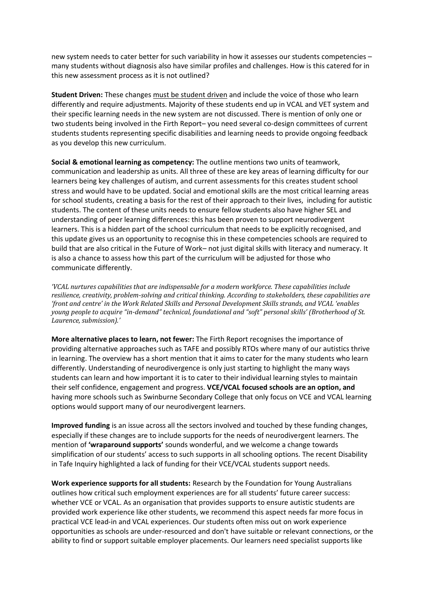new system needs to cater better for such variability in how it assesses our students competencies – many students without diagnosis also have similar profiles and challenges. How is this catered for in this new assessment process as it is not outlined?

**Student Driven:** These changes must be student driven and include the voice of those who learn differently and require adjustments. Majority of these students end up in VCAL and VET system and their specific learning needs in the new system are not discussed. There is mention of only one or two students being involved in the Firth Report– you need several co-design committees of current students students representing specific disabilities and learning needs to provide ongoing feedback as you develop this new curriculum.

**Social & emotional learning as competency:** The outline mentions two units of teamwork, communication and leadership as units. All three of these are key areas of learning difficulty for our learners being key challenges of autism, and current assessments for this creates student school stress and would have to be updated. Social and emotional skills are the most critical learning areas for school students, creating a basis for the rest of their approach to their lives, including for autistic students. The content of these units needs to ensure fellow students also have higher SEL and understanding of peer learning differences: this has been proven to support neurodivergent learners. This is a hidden part of the school curriculum that needs to be explicitly recognised, and this update gives us an opportunity to recognise this in these competencies schools are required to build that are also critical in the Future of Work– not just digital skills with literacy and numeracy. It is also a chance to assess how this part of the curriculum will be adjusted for those who communicate differently.

*'VCAL nurtures capabilities that are indispensable for a modern workforce. These capabilities include resilience, creativity, problem-solving and critical thinking. According to stakeholders, these capabilities are 'front and centre' in the Work Related Skills and Personal Development Skills strands, and VCAL 'enables young people to acquire "in-demand" technical, foundational and "soft" personal skills' (Brotherhood of St. Laurence, submission).'* 

**More alternative places to learn, not fewer:** The Firth Report recognises the importance of providing alternative approaches such as TAFE and possibly RTOs where many of our autistics thrive in learning. The overview has a short mention that it aims to cater for the many students who learn differently. Understanding of neurodivergence is only just starting to highlight the many ways students can learn and how important it is to cater to their individual learning styles to maintain their self confidence, engagement and progress. **VCE/VCAL focused schools are an option, and** having more schools such as Swinburne Secondary College that only focus on VCE and VCAL learning options would support many of our neurodivergent learners.

**Improved funding** is an issue across all the sectors involved and touched by these funding changes, especially if these changes are to include supports for the needs of neurodivergent learners. The mention of **'wraparound supports'** sounds wonderful, and we welcome a change towards simplification of our students' access to such supports in all schooling options. The recent Disability in Tafe Inquiry highlighted a lack of funding for their VCE/VCAL students support needs.

**Work experience supports for all students:** Research by the Foundation for Young Australians outlines how critical such employment experiences are for all students' future career success: whether VCE or VCAL. As an organisation that provides supports to ensure autistic students are provided work experience like other students, we recommend this aspect needs far more focus in practical VCE lead-in and VCAL experiences. Our students often miss out on work experience opportunities as schools are under-resourced and don't have suitable or relevant connections, or the ability to find or support suitable employer placements. Our learners need specialist supports like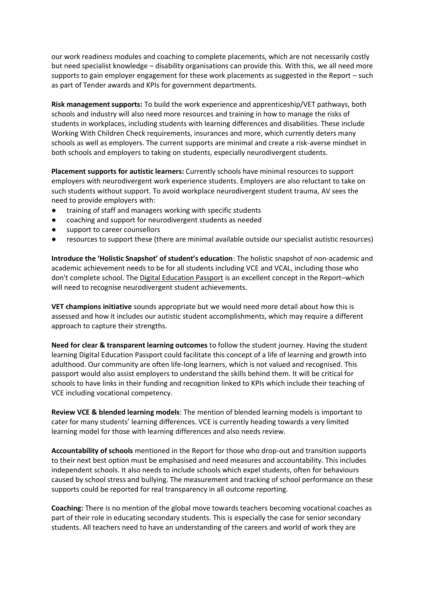our work readiness modules and coaching to complete placements, which are not necessarily costly but need specialist knowledge – disability organisations can provide this. With this, we all need more supports to gain employer engagement for these work placements as suggested in the Report – such as part of Tender awards and KPIs for government departments.

**Risk management supports:** To build the work experience and apprenticeship/VET pathways, both schools and industry will also need more resources and training in how to manage the risks of students in workplaces, including students with learning differences and disabilities. These include Working With Children Check requirements, insurances and more, which currently deters many schools as well as employers. The current supports are minimal and create a risk-averse mindset in both schools and employers to taking on students, especially neurodivergent students.

**Placement supports for autistic learners:** Currently schools have minimal resources to support employers with neurodivergent work experience students. Employers are also reluctant to take on such students without support. To avoid workplace neurodivergent student trauma, AV sees the need to provide employers with:

- training of staff and managers working with specific students
- coaching and support for neurodivergent students as needed
- support to career counsellors
- resources to support these (there are minimal available outside our specialist autistic resources)

**Introduce the 'Holistic Snapshot' of student's education**: The holistic snapshot of non-academic and academic achievement needs to be for all students including VCE and VCAL, including those who don't complete school. The Digital Education Passport is an excellent concept in the Report–which will need to recognise neurodivergent student achievements.

**VET champions initiative** sounds appropriate but we would need more detail about how this is assessed and how it includes our autistic student accomplishments, which may require a different approach to capture their strengths.

**Need for clear & transparent learning outcomes** to follow the student journey. Having the student learning Digital Education Passport could facilitate this concept of a life of learning and growth into adulthood. Our community are often life-long learners, which is not valued and recognised. This passport would also assist employers to understand the skills behind them. It will be critical for schools to have links in their funding and recognition linked to KPIs which include their teaching of VCE including vocational competency.

**Review VCE & blended learning models**: The mention of blended learning models is important to cater for many students' learning differences. VCE is currently heading towards a very limited learning model for those with learning differences and also needs review.

**Accountability of schools** mentioned in the Report for those who drop-out and transition supports to their next best option must be emphasised and need measures and accountability. This includes independent schools. It also needs to include schools which expel students, often for behaviours caused by school stress and bullying. The measurement and tracking of school performance on these supports could be reported for real transparency in all outcome reporting.

**Coaching:** There is no mention of the global move towards teachers becoming vocational coaches as part of their role in educating secondary students. This is especially the case for senior secondary students. All teachers need to have an understanding of the careers and world of work they are